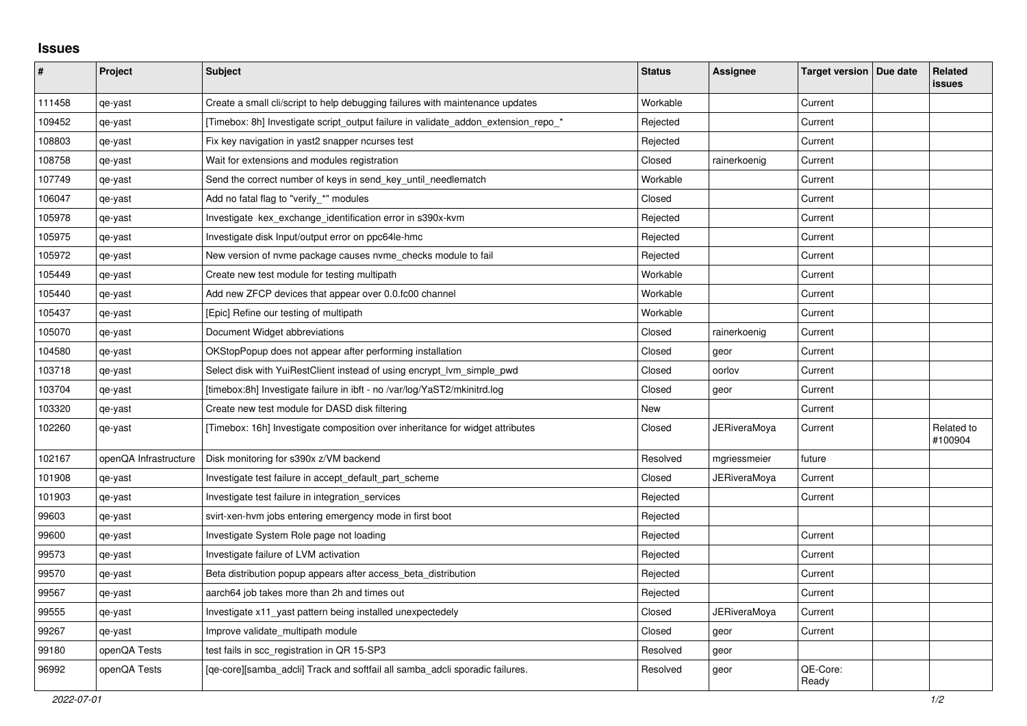## **Issues**

| ∦      | Project               | <b>Subject</b>                                                                     | <b>Status</b> | <b>Assignee</b> | Target version   Due date | Related<br>issues     |
|--------|-----------------------|------------------------------------------------------------------------------------|---------------|-----------------|---------------------------|-----------------------|
| 111458 | qe-yast               | Create a small cli/script to help debugging failures with maintenance updates      | Workable      |                 | Current                   |                       |
| 109452 | qe-yast               | [Timebox: 8h] Investigate script_output failure in validate_addon_extension_repo_* | Rejected      |                 | Current                   |                       |
| 108803 | qe-yast               | Fix key navigation in yast2 snapper ncurses test                                   | Rejected      |                 | Current                   |                       |
| 108758 | qe-yast               | Wait for extensions and modules registration                                       | Closed        | rainerkoenig    | Current                   |                       |
| 107749 | qe-yast               | Send the correct number of keys in send key until needlematch                      | Workable      |                 | Current                   |                       |
| 106047 | qe-yast               | Add no fatal flag to "verify_*" modules                                            | Closed        |                 | Current                   |                       |
| 105978 | qe-yast               | Investigate kex exchange identification error in s390x-kvm                         | Rejected      |                 | Current                   |                       |
| 105975 | qe-yast               | Investigate disk Input/output error on ppc64le-hmc                                 | Rejected      |                 | Current                   |                       |
| 105972 | qe-yast               | New version of nvme package causes nvme_checks module to fail                      | Rejected      |                 | Current                   |                       |
| 105449 | qe-yast               | Create new test module for testing multipath                                       | Workable      |                 | Current                   |                       |
| 105440 | qe-yast               | Add new ZFCP devices that appear over 0.0.fc00 channel                             | Workable      |                 | Current                   |                       |
| 105437 | qe-yast               | [Epic] Refine our testing of multipath                                             | Workable      |                 | Current                   |                       |
| 105070 | qe-yast               | Document Widget abbreviations                                                      | Closed        | rainerkoenig    | Current                   |                       |
| 104580 | qe-yast               | OKStopPopup does not appear after performing installation                          | Closed        | geor            | Current                   |                       |
| 103718 | qe-yast               | Select disk with YuiRestClient instead of using encrypt_lvm_simple_pwd             | Closed        | oorlov          | Current                   |                       |
| 103704 | qe-yast               | [timebox:8h] Investigate failure in ibft - no /var/log/YaST2/mkinitrd.log          | Closed        | geor            | Current                   |                       |
| 103320 | qe-yast               | Create new test module for DASD disk filtering                                     | New           |                 | Current                   |                       |
| 102260 | qe-yast               | [Timebox: 16h] Investigate composition over inheritance for widget attributes      | Closed        | JERiveraMoya    | Current                   | Related to<br>#100904 |
| 102167 | openQA Infrastructure | Disk monitoring for s390x z/VM backend                                             | Resolved      | mgriessmeier    | future                    |                       |
| 101908 | qe-yast               | Investigate test failure in accept_default_part_scheme                             | Closed        | JERiveraMoya    | Current                   |                       |
| 101903 | qe-yast               | Investigate test failure in integration services                                   | Rejected      |                 | Current                   |                       |
| 99603  | qe-yast               | svirt-xen-hvm jobs entering emergency mode in first boot                           | Rejected      |                 |                           |                       |
| 99600  | qe-yast               | Investigate System Role page not loading                                           | Rejected      |                 | Current                   |                       |
| 99573  | qe-yast               | Investigate failure of LVM activation                                              | Rejected      |                 | Current                   |                       |
| 99570  | qe-yast               | Beta distribution popup appears after access_beta_distribution                     | Rejected      |                 | Current                   |                       |
| 99567  | qe-yast               | aarch64 job takes more than 2h and times out                                       | Rejected      |                 | Current                   |                       |
| 99555  | qe-yast               | Investigate x11 yast pattern being installed unexpectedely                         | Closed        | JERiveraMoya    | Current                   |                       |
| 99267  | qe-yast               | Improve validate multipath module                                                  | Closed        | geor            | Current                   |                       |
| 99180  | openQA Tests          | test fails in scc_registration in QR 15-SP3                                        | Resolved      | geor            |                           |                       |
| 96992  | openQA Tests          | [ge-core][samba adcli] Track and softfail all samba adcli sporadic failures.       | Resolved      | geor            | QE-Core:<br>Ready         |                       |